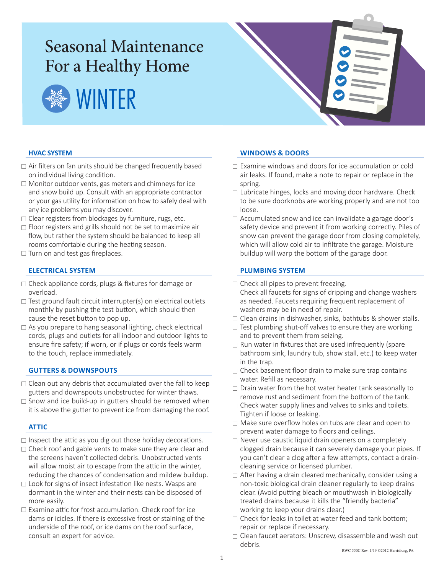# Seasonal Maintenance For a Healthy Home





## **HVAC SYSTEM**

- $\Box$  Air filters on fan units should be changed frequently based on individual living condition.
- $\Box$  Monitor outdoor vents, gas meters and chimneys for ice and snow build up. Consult with an appropriate contractor or your gas utility for information on how to safely deal with any ice problems you may discover.
- $\Box$  Clear registers from blockages by furniture, rugs, etc.
- $\Box$  Floor registers and grills should not be set to maximize air flow, but rather the system should be balanced to keep all rooms comfortable during the heating season.
- $\Box$  Turn on and test gas fireplaces.

## **ELECTRICAL SYSTEM**

- □ Check appliance cords, plugs & fixtures for damage or overload.
- $\Box$  Test ground fault circuit interrupter(s) on electrical outlets monthly by pushing the test button, which should then cause the reset button to pop up.
- $\Box$  As you prepare to hang seasonal lighting, check electrical cords, plugs and outlets for all indoor and outdoor lights to ensure fire safety; if worn, or if plugs or cords feels warm to the touch, replace immediately.

### **GUTTERS & DOWNSPOUTS**

- $\Box$  Clean out any debris that accumulated over the fall to keep gutters and downspouts unobstructed for winter thaws.
- $\Box$  Snow and ice build-up in gutters should be removed when it is above the gutter to prevent ice from damaging the roof.

### **ATTIC**

- $\Box$  Inspect the attic as you dig out those holiday decorations.
- $\Box$  Check roof and gable vents to make sure they are clear and the screens haven't collected debris. Unobstructed vents will allow moist air to escape from the attic in the winter, reducing the chances of condensation and mildew buildup.
- $\Box$  Look for signs of insect infestation like nests. Wasps are dormant in the winter and their nests can be disposed of more easily.
- $\Box$  Examine attic for frost accumulation. Check roof for ice dams or icicles. If there is excessive frost or staining of the underside of the roof, or ice dams on the roof surface, consult an expert for advice.

### **WINDOWS & DOORS**

- $\Box$  Examine windows and doors for ice accumulation or cold air leaks. If found, make a note to repair or replace in the spring.
- $\Box$  Lubricate hinges, locks and moving door hardware. Check to be sure doorknobs are working properly and are not too loose.
- $\Box$  Accumulated snow and ice can invalidate a garage door's safety device and prevent it from working correctly. Piles of snow can prevent the garage door from closing completely, which will allow cold air to infiltrate the garage. Moisture buildup will warp the bottom of the garage door.

### **PLUMBING SYSTEM**

- $\Box$  Check all pipes to prevent freezing.
	- Check all faucets for signs of dripping and change washers as needed. Faucets requiring frequent replacement of washers may be in need of repair.
- $\Box$  Clean drains in dishwasher, sinks, bathtubs & shower stalls.
- $\Box$  Test plumbing shut-off valves to ensure they are working and to prevent them from seizing.
- $\Box$  Run water in fixtures that are used infrequently (spare) bathroom sink, laundry tub, show stall, etc.) to keep water in the trap.
- $\Box$  Check basement floor drain to make sure trap contains water. Refill as necessary.
- $\Box$  Drain water from the hot water heater tank seasonally to remove rust and sediment from the bottom of the tank.
- $\Box$  Check water supply lines and valves to sinks and toilets. Tighten if loose or leaking.
- Make sure overflow holes on tubs are clear and open to prevent water damage to floors and ceilings.
- $\Box$  Never use caustic liquid drain openers on a completely clogged drain because it can severely damage your pipes. If you can't clear a clog after a few attempts, contact a draincleaning service or licensed plumber.
- $\Box$  After having a drain cleared mechanically, consider using a non-toxic biological drain cleaner regularly to keep drains clear. (Avoid putting bleach or mouthwash in biologically treated drains because it kills the "friendly bacteria" working to keep your drains clear.)
- $\Box$  Check for leaks in toilet at water feed and tank bottom; repair or replace if necessary.
- $\Box$  Clean faucet aerators: Unscrew, disassemble and wash out debris.